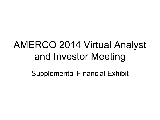# AMERCO 2014 Virtual Analyst and Investor Meeting

Supplemental Financial Exhibit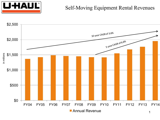

#### Self-Moving Equipment Rental Revenues

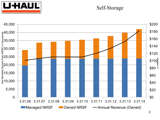

#### Self-Storage

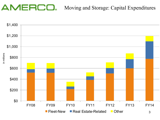### Moving and Storage: Capital Expenditures

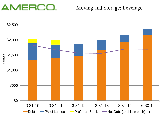#### Moving and Storage: Leverage

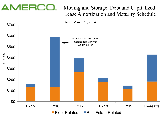### Moving and Storage: Debt and Capitalized Lease Amortization and Maturity Schedule

As of March 31, 2014